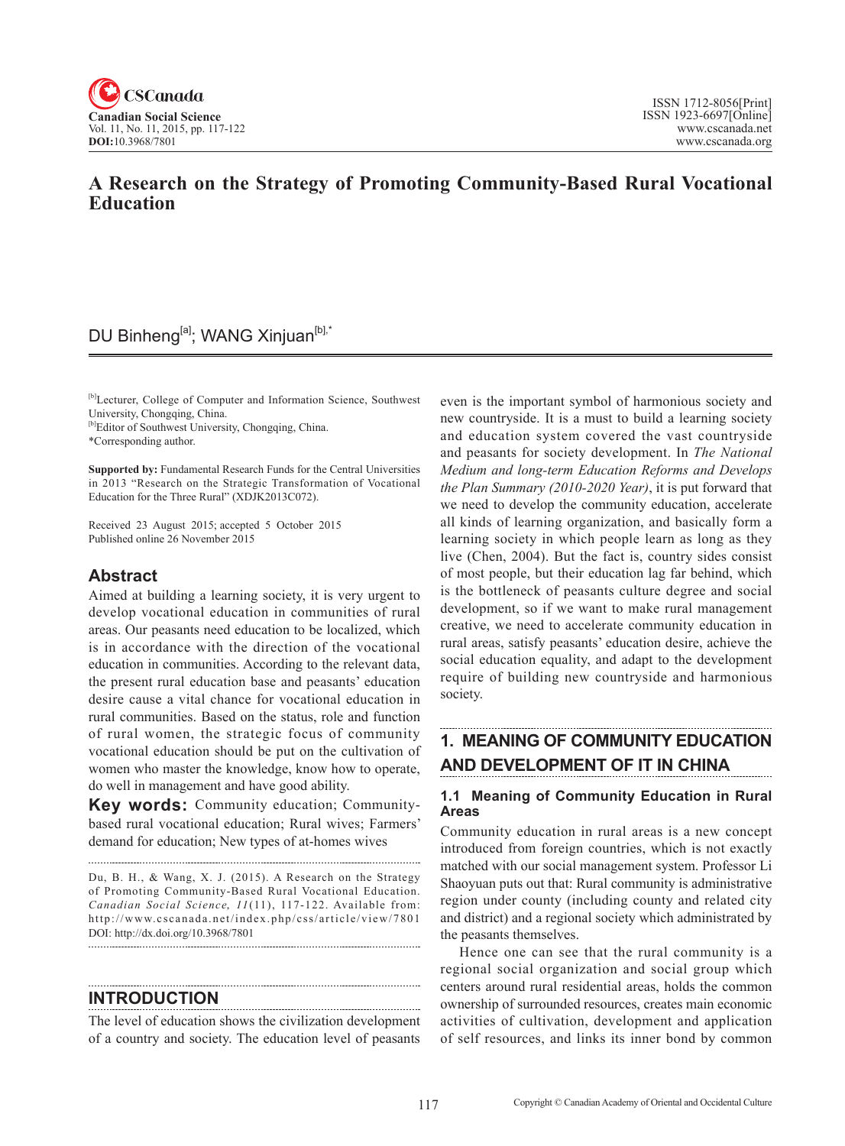

## **A Research on the Strategy of Promoting Community-Based Rural Vocational Education**

## DU Binheng<sup>[a]</sup>; WANG Xinjuan<sup>[b],\*</sup>

[b]Lecturer, College of Computer and Information Science, Southwest University, Chongqing, China.

[b]Editor of Southwest University, Chongqing, China.

\*Corresponding author.

**Supported by:** Fundamental Research Funds for the Central Universities in 2013 "Research on the Strategic Transformation of Vocational Education for the Three Rural" (XDJK2013C072).

Received 23 August 2015; accepted 5 October 2015 Published online 26 November 2015

#### **Abstract**

Aimed at building a learning society, it is very urgent to develop vocational education in communities of rural areas. Our peasants need education to be localized, which is in accordance with the direction of the vocational education in communities. According to the relevant data, the present rural education base and peasants' education desire cause a vital chance for vocational education in rural communities. Based on the status, role and function of rural women, the strategic focus of community vocational education should be put on the cultivation of women who master the knowledge, know how to operate, do well in management and have good ability.

**Key words:** Community education; Communitybased rural vocational education; Rural wives; Farmers' demand for education; New types of at-homes wives

Du, B. H., & Wang, X. J. (2015). A Research on the Strategy of Promoting Community-Based Rural Vocational Education. *Canadian Social Science, 11*(11), 117-122. Available from: http://www.cscanada.net/index.php/css/article/view/7801 DOI: http://dx.doi.org/10.3968/7801 

#### **INTRODUCTION**

The level of education shows the civilization development of a country and society. The education level of peasants even is the important symbol of harmonious society and new countryside. It is a must to build a learning society and education system covered the vast countryside and peasants for society development. In *The National Medium and long-term Education Reforms and Develops the Plan Summary (2010-2020 Year)*, it is put forward that we need to develop the community education, accelerate all kinds of learning organization, and basically form a learning society in which people learn as long as they live (Chen, 2004). But the fact is, country sides consist of most people, but their education lag far behind, which is the bottleneck of peasants culture degree and social development, so if we want to make rural management creative, we need to accelerate community education in rural areas, satisfy peasants' education desire, achieve the social education equality, and adapt to the development require of building new countryside and harmonious society.

## **1. MEANING OF COMMUNITY EDUCATION AND DEVELOPMENT OF IT IN CHINA**

### **1.1 Meaning of Community Education in Rural Areas**

Community education in rural areas is a new concept introduced from foreign countries, which is not exactly matched with our social management system. Professor Li Shaoyuan puts out that: Rural community is administrative region under county (including county and related city and district) and a regional society which administrated by the peasants themselves.

Hence one can see that the rural community is a regional social organization and social group which centers around rural residential areas, holds the common ownership of surrounded resources, creates main economic activities of cultivation, development and application of self resources, and links its inner bond by common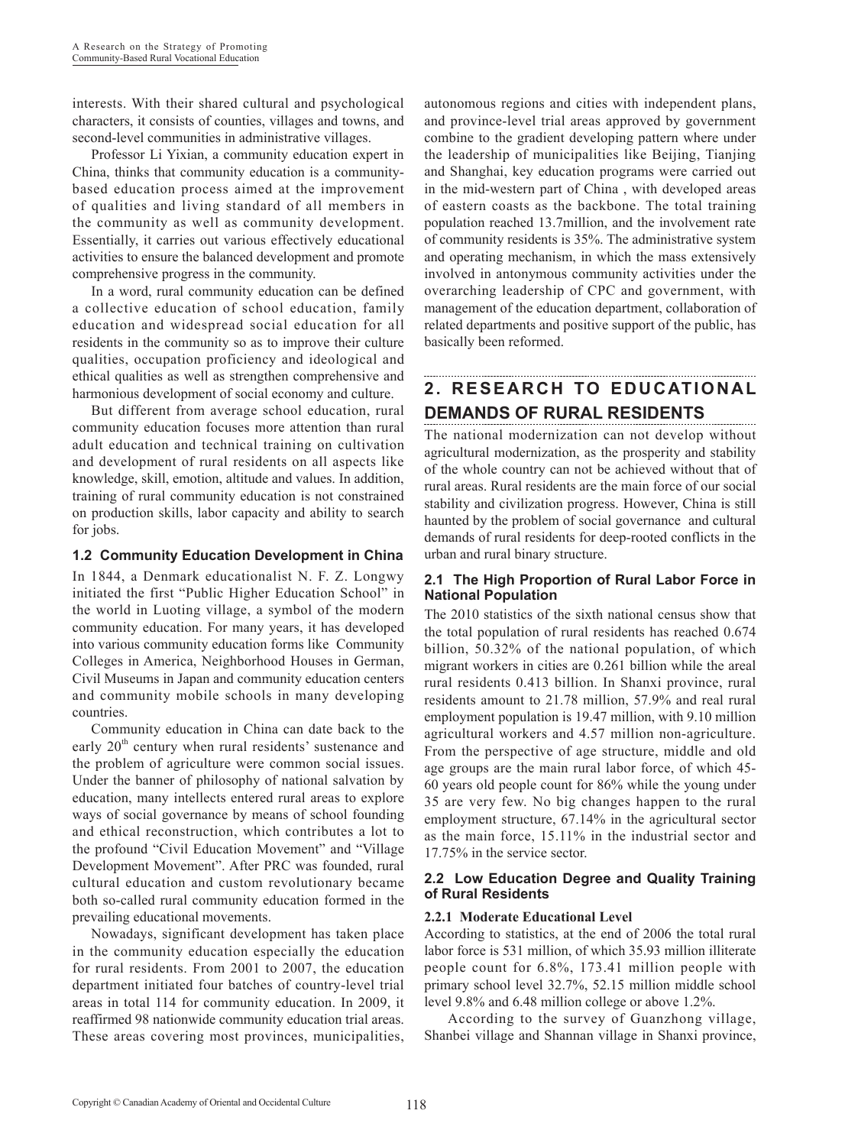interests. With their shared cultural and psychological characters, it consists of counties, villages and towns, and second-level communities in administrative villages.

Professor Li Yixian, a community education expert in China, thinks that community education is a communitybased education process aimed at the improvement of qualities and living standard of all members in the community as well as community development. Essentially, it carries out various effectively educational activities to ensure the balanced development and promote comprehensive progress in the community.

In a word, rural community education can be defined a collective education of school education, family education and widespread social education for all residents in the community so as to improve their culture qualities, occupation proficiency and ideological and ethical qualities as well as strengthen comprehensive and harmonious development of social economy and culture.

But different from average school education, rural community education focuses more attention than rural adult education and technical training on cultivation and development of rural residents on all aspects like knowledge, skill, emotion, altitude and values. In addition, training of rural community education is not constrained on production skills, labor capacity and ability to search for jobs.

#### **1.2 Community Education Development in China**

In 1844, a Denmark educationalist N. F. Z. Longwy initiated the first "Public Higher Education School" in the world in Luoting village, a symbol of the modern community education. For many years, it has developed into various community education forms like Community Colleges in America, Neighborhood Houses in German, Civil Museums in Japan and community education centers and community mobile schools in many developing countries.

Community education in China can date back to the early  $20<sup>th</sup>$  century when rural residents' sustenance and the problem of agriculture were common social issues. Under the banner of philosophy of national salvation by education, many intellects entered rural areas to explore ways of social governance by means of school founding and ethical reconstruction, which contributes a lot to the profound "Civil Education Movement" and "Village Development Movement". After PRC was founded, rural cultural education and custom revolutionary became both so-called rural community education formed in the prevailing educational movements.

Nowadays, significant development has taken place in the community education especially the education for rural residents. From 2001 to 2007, the education department initiated four batches of country-level trial areas in total 114 for community education. In 2009, it reaffirmed 98 nationwide community education trial areas. These areas covering most provinces, municipalities, autonomous regions and cities with independent plans, and province-level trial areas approved by government combine to the gradient developing pattern where under the leadership of municipalities like Beijing, Tianjing and Shanghai, key education programs were carried out in the mid-western part of China , with developed areas of eastern coasts as the backbone. The total training population reached 13.7million, and the involvement rate of community residents is 35%. The administrative system and operating mechanism, in which the mass extensively involved in antonymous community activities under the overarching leadership of CPC and government, with management of the education department, collaboration of related departments and positive support of the public, has basically been reformed.

# **2. RESEARCH TO EDUCATIONAL DEMANDS OF RURAL RESIDENTS**

The national modernization can not develop without agricultural modernization, as the prosperity and stability of the whole country can not be achieved without that of rural areas. Rural residents are the main force of our social stability and civilization progress. However, China is still haunted by the problem of social governance and cultural demands of rural residents for deep-rooted conflicts in the urban and rural binary structure.

### **2.1 The High Proportion of Rural Labor Force in National Population**

The 2010 statistics of the sixth national census show that the total population of rural residents has reached 0.674 billion, 50.32% of the national population, of which migrant workers in cities are 0.261 billion while the areal rural residents 0.413 billion. In Shanxi province, rural residents amount to 21.78 million, 57.9% and real rural employment population is 19.47 million, with 9.10 million agricultural workers and 4.57 million non-agriculture. From the perspective of age structure, middle and old age groups are the main rural labor force, of which 45- 60 years old people count for 86% while the young under 35 are very few. No big changes happen to the rural employment structure, 67.14% in the agricultural sector as the main force, 15.11% in the industrial sector and 17.75% in the service sector.

#### **2.2 Low Education Degree and Quality Training of Rural Residents**

#### **2.2.1 Moderate Educational Level**

According to statistics, at the end of 2006 the total rural labor force is 531 million, of which 35.93 million illiterate people count for 6.8%, 173.41 million people with primary school level 32.7%, 52.15 million middle school level 9.8% and 6.48 million college or above 1.2%.

 According to the survey of Guanzhong village, Shanbei village and Shannan village in Shanxi province,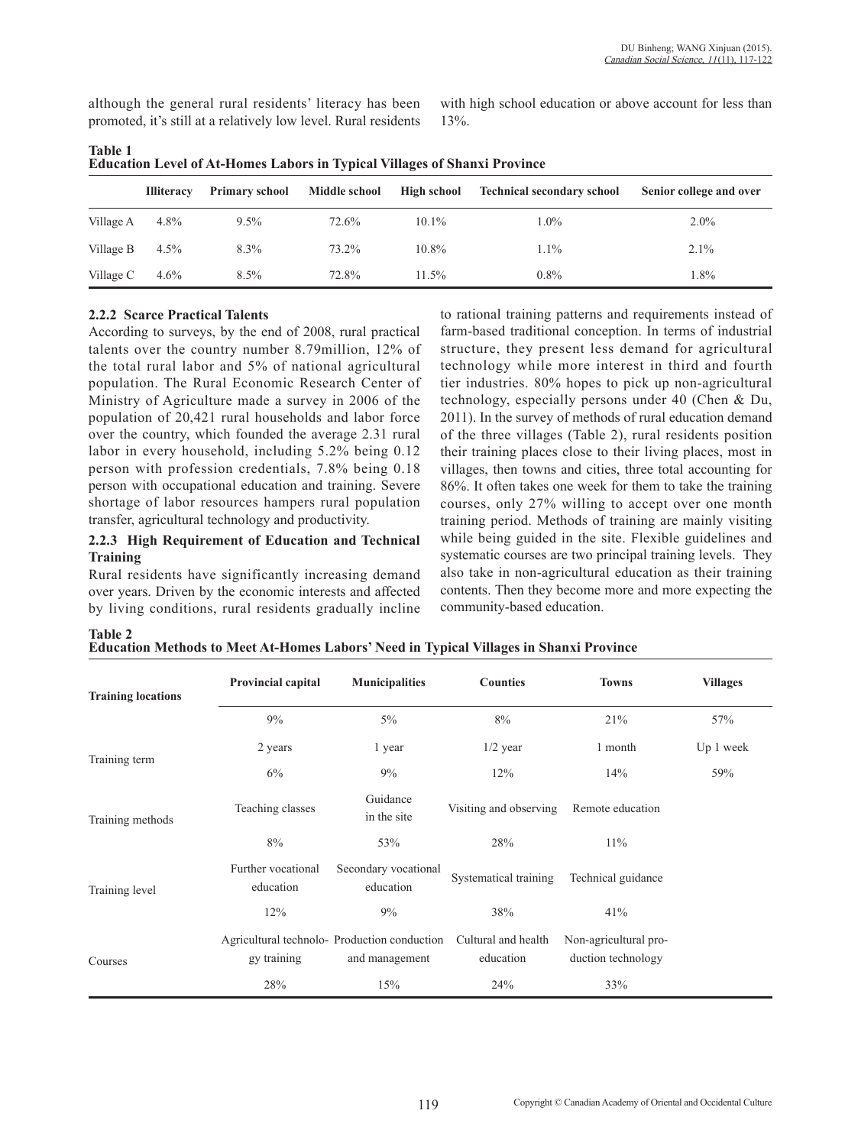although the general rural residents' literacy has been promoted, it's still at a relatively low level. Rural residents with high school education or above account for less than 13%.

| EQUURIQUE EU VU OI AU-HOMUS EROOI 8 M TYPIURI VIHAZUS OI SHAHAI I TOYMUU |                   |                       |               |             |                                   |                         |  |  |  |  |
|--------------------------------------------------------------------------|-------------------|-----------------------|---------------|-------------|-----------------------------------|-------------------------|--|--|--|--|
|                                                                          | <b>Illiteracy</b> | <b>Primary school</b> | Middle school | High school | <b>Technical secondary school</b> | Senior college and over |  |  |  |  |
| Village A                                                                | 4.8%              | $9.5\%$               | 72.6%         | $10.1\%$    | $1.0\%$                           | $2.0\%$                 |  |  |  |  |
| Village B                                                                | $4.5\%$           | $8.3\%$               | 73.2%         | $10.8\%$    | $1.1\%$                           | $2.1\%$                 |  |  |  |  |
| Village C                                                                | $4.6\%$           | $8.5\%$               | 72.8%         | $11.5\%$    | $0.8\%$                           | 1.8%                    |  |  |  |  |

**Table 1 Education Level of At-Homes Labors in Typical Villages of Shanxi Province**

### **2.2.2 Scarce Practical Talents**

**Table 2**

According to surveys, by the end of 2008, rural practical talents over the country number 8.79million, 12% of the total rural labor and 5% of national agricultural population. The Rural Economic Research Center of Ministry of Agriculture made a survey in 2006 of the population of 20,421 rural households and labor force over the country, which founded the average 2.31 rural labor in every household, including 5.2% being 0.12 person with profession credentials, 7.8% being 0.18 person with occupational education and training. Severe shortage of labor resources hampers rural population transfer, agricultural technology and productivity.

#### **2.2.3 High Requirement of Education and Technical Training**

Rural residents have significantly increasing demand over years. Driven by the economic interests and affected by living conditions, rural residents gradually incline to rational training patterns and requirements instead of farm-based traditional conception. In terms of industrial structure, they present less demand for agricultural technology while more interest in third and fourth tier industries. 80% hopes to pick up non-agricultural technology, especially persons under 40 (Chen & Du, 2011). In the survey of methods of rural education demand of the three villages (Table 2), rural residents position their training places close to their living places, most in villages, then towns and cities, three total accounting for 86%. It often takes one week for them to take the training courses, only 27% willing to accept over one month training period. Methods of training are mainly visiting while being guided in the site. Flexible guidelines and systematic courses are two principal training levels. They also take in non-agricultural education as their training contents. Then they become more and more expecting the community-based education.

| <b>Training locations</b> | Provincial capital              | <b>Municipalities</b>                                         | <b>Counties</b>                            | <b>Towns</b>                                | <b>Villages</b> |
|---------------------------|---------------------------------|---------------------------------------------------------------|--------------------------------------------|---------------------------------------------|-----------------|
|                           | 9%                              | $5\%$                                                         | 8%                                         | 21%                                         | 57%             |
| Training term             | 2 years                         | 1 year                                                        | $1/2$ year                                 | 1 month                                     | Up 1 week       |
|                           | 6%                              | 9%                                                            | 12%                                        | 14%                                         | 59%             |
| Training methods          | Teaching classes                | Guidance<br>in the site                                       | Visiting and observing<br>Remote education |                                             |                 |
|                           | 8%                              | 53%                                                           | 28%                                        | $11\%$                                      |                 |
| Training level            | Further vocational<br>education | Secondary vocational<br>education                             | Systematical training                      | Technical guidance                          |                 |
|                           | 12%                             | 9%                                                            | 38%                                        | 41%                                         |                 |
| Courses                   | gy training                     | Agricultural technolo-Production conduction<br>and management | Cultural and health<br>education           | Non-agricultural pro-<br>duction technology |                 |
|                           | 28%                             | 15%                                                           | 24%                                        | 33%                                         |                 |

**Education Methods to Meet At-Homes Labors' Need in Typical Villages in Shanxi Province**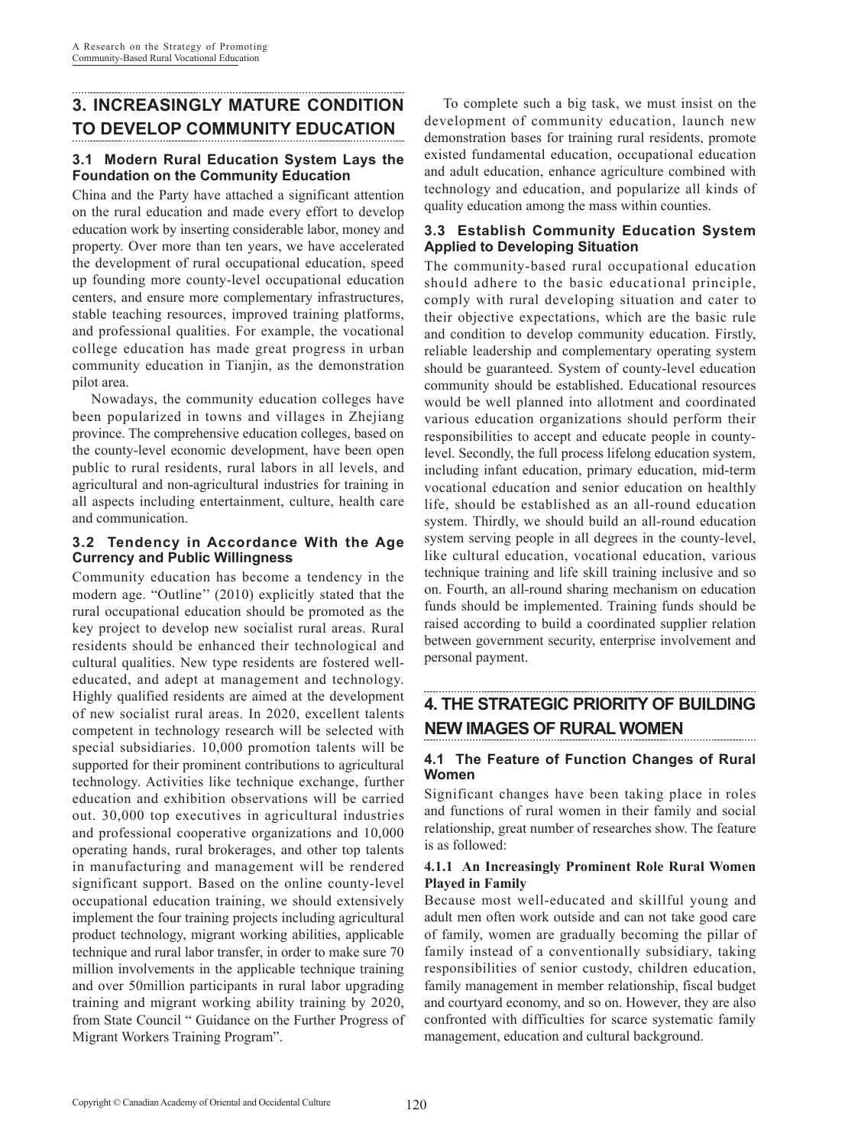## **3. INCREASINGLY MATURE CONDITION TO DEVELOP COMMUNITY EDUCATION**

### **3.1 Modern Rural Education System Lays the Foundation on the Community Education**

China and the Party have attached a significant attention on the rural education and made every effort to develop education work by inserting considerable labor, money and property. Over more than ten years, we have accelerated the development of rural occupational education, speed up founding more county-level occupational education centers, and ensure more complementary infrastructures, stable teaching resources, improved training platforms, and professional qualities. For example, the vocational college education has made great progress in urban community education in Tianjin, as the demonstration pilot area.

Nowadays, the community education colleges have been popularized in towns and villages in Zhejiang province. The comprehensive education colleges, based on the county-level economic development, have been open public to rural residents, rural labors in all levels, and agricultural and non-agricultural industries for training in all aspects including entertainment, culture, health care and communication.

#### **3.2 Tendency in Accordance With the Age Currency and Public Willingness**

Community education has become a tendency in the modern age. "Outline'' (2010) explicitly stated that the rural occupational education should be promoted as the key project to develop new socialist rural areas. Rural residents should be enhanced their technological and cultural qualities. New type residents are fostered welleducated, and adept at management and technology. Highly qualified residents are aimed at the development of new socialist rural areas. In 2020, excellent talents competent in technology research will be selected with special subsidiaries. 10,000 promotion talents will be supported for their prominent contributions to agricultural technology. Activities like technique exchange, further education and exhibition observations will be carried out. 30,000 top executives in agricultural industries and professional cooperative organizations and 10,000 operating hands, rural brokerages, and other top talents in manufacturing and management will be rendered significant support. Based on the online county-level occupational education training, we should extensively implement the four training projects including agricultural product technology, migrant working abilities, applicable technique and rural labor transfer, in order to make sure 70 million involvements in the applicable technique training and over 50million participants in rural labor upgrading training and migrant working ability training by 2020, from State Council " Guidance on the Further Progress of Migrant Workers Training Program".

To complete such a big task, we must insist on the development of community education, launch new demonstration bases for training rural residents, promote existed fundamental education, occupational education and adult education, enhance agriculture combined with technology and education, and popularize all kinds of quality education among the mass within counties.

### **3.3 Establish Community Education System Applied to Developing Situation**

The community-based rural occupational education should adhere to the basic educational principle, comply with rural developing situation and cater to their objective expectations, which are the basic rule and condition to develop community education. Firstly, reliable leadership and complementary operating system should be guaranteed. System of county-level education community should be established. Educational resources would be well planned into allotment and coordinated various education organizations should perform their responsibilities to accept and educate people in countylevel. Secondly, the full process lifelong education system, including infant education, primary education, mid-term vocational education and senior education on healthly life, should be established as an all-round education system. Thirdly, we should build an all-round education system serving people in all degrees in the county-level, like cultural education, vocational education, various technique training and life skill training inclusive and so on. Fourth, an all-round sharing mechanism on education funds should be implemented. Training funds should be raised according to build a coordinated supplier relation between government security, enterprise involvement and personal payment.

# **4. THE STRATEGIC PRIORITY OF BUILDING NEW IMAGES OF RURAL WOMEN**

### **4.1 The Feature of Function Changes of Rural Women**

Significant changes have been taking place in roles and functions of rural women in their family and social relationship, great number of researches show. The feature is as followed:

#### **4.1.1 An Increasingly Prominent Role Rural Women Played in Family**

Because most well-educated and skillful young and adult men often work outside and can not take good care of family, women are gradually becoming the pillar of family instead of a conventionally subsidiary, taking responsibilities of senior custody, children education, family management in member relationship, fiscal budget and courtyard economy, and so on. However, they are also confronted with difficulties for scarce systematic family management, education and cultural background.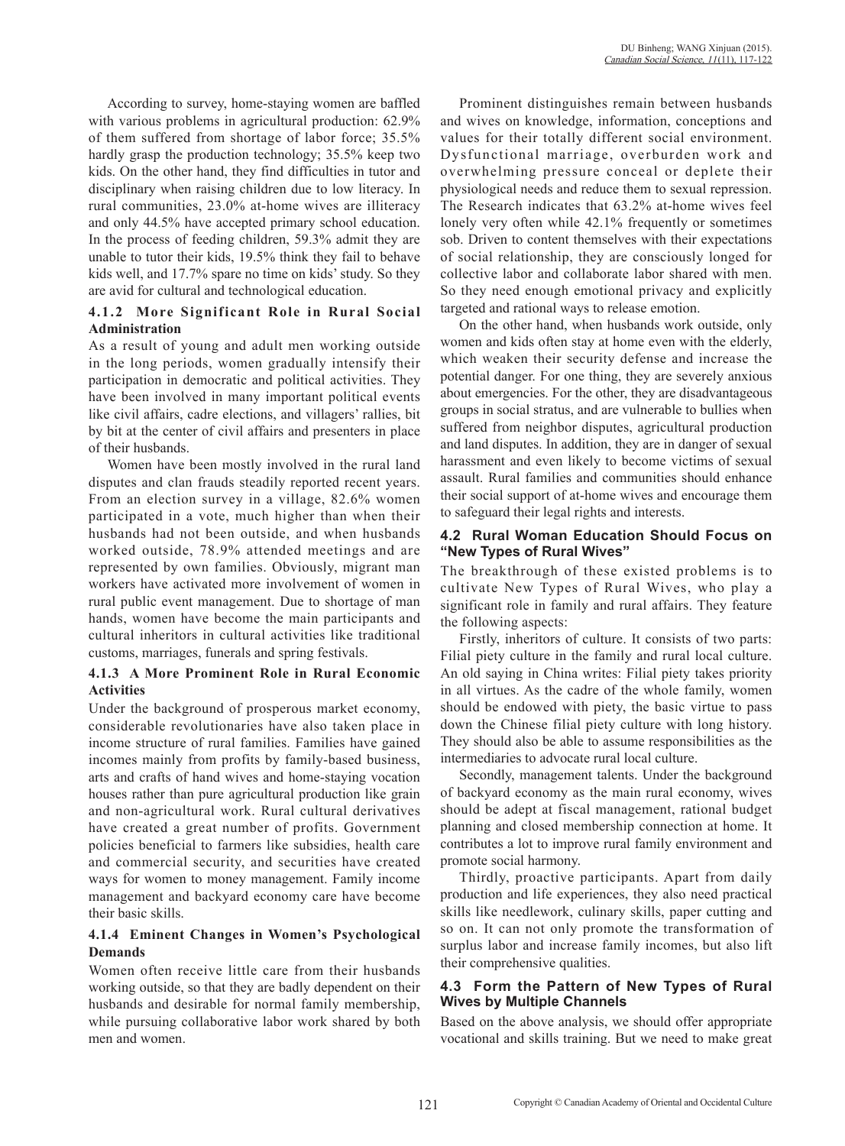According to survey, home-staying women are baffled with various problems in agricultural production: 62.9% of them suffered from shortage of labor force; 35.5% hardly grasp the production technology; 35.5% keep two kids. On the other hand, they find difficulties in tutor and disciplinary when raising children due to low literacy. In rural communities, 23.0% at-home wives are illiteracy and only 44.5% have accepted primary school education. In the process of feeding children, 59.3% admit they are unable to tutor their kids, 19.5% think they fail to behave kids well, and 17.7% spare no time on kids' study. So they are avid for cultural and technological education.

#### **4.1.2 More Significant Role in Rural Social Administration**

As a result of young and adult men working outside in the long periods, women gradually intensify their participation in democratic and political activities. They have been involved in many important political events like civil affairs, cadre elections, and villagers' rallies, bit by bit at the center of civil affairs and presenters in place of their husbands.

Women have been mostly involved in the rural land disputes and clan frauds steadily reported recent years. From an election survey in a village, 82.6% women participated in a vote, much higher than when their husbands had not been outside, and when husbands worked outside, 78.9% attended meetings and are represented by own families. Obviously, migrant man workers have activated more involvement of women in rural public event management. Due to shortage of man hands, women have become the main participants and cultural inheritors in cultural activities like traditional customs, marriages, funerals and spring festivals.

#### **4.1.3 A More Prominent Role in Rural Economic Activities**

Under the background of prosperous market economy, considerable revolutionaries have also taken place in income structure of rural families. Families have gained incomes mainly from profits by family-based business, arts and crafts of hand wives and home-staying vocation houses rather than pure agricultural production like grain and non-agricultural work. Rural cultural derivatives have created a great number of profits. Government policies beneficial to farmers like subsidies, health care and commercial security, and securities have created ways for women to money management. Family income management and backyard economy care have become their basic skills.

#### **4.1.4 Eminent Changes in Women's Psychological Demands**

Women often receive little care from their husbands working outside, so that they are badly dependent on their husbands and desirable for normal family membership, while pursuing collaborative labor work shared by both men and women.

Prominent distinguishes remain between husbands and wives on knowledge, information, conceptions and values for their totally different social environment. Dysfunctional marriage, overburden work and overwhelming pressure conceal or deplete their physiological needs and reduce them to sexual repression. The Research indicates that 63.2% at-home wives feel lonely very often while 42.1% frequently or sometimes sob. Driven to content themselves with their expectations of social relationship, they are consciously longed for collective labor and collaborate labor shared with men. So they need enough emotional privacy and explicitly targeted and rational ways to release emotion.

On the other hand, when husbands work outside, only women and kids often stay at home even with the elderly, which weaken their security defense and increase the potential danger. For one thing, they are severely anxious about emergencies. For the other, they are disadvantageous groups in social stratus, and are vulnerable to bullies when suffered from neighbor disputes, agricultural production and land disputes. In addition, they are in danger of sexual harassment and even likely to become victims of sexual assault. Rural families and communities should enhance their social support of at-home wives and encourage them to safeguard their legal rights and interests.

#### **4.2 Rural Woman Education Should Focus on "New Types of Rural Wives"**

The breakthrough of these existed problems is to cultivate New Types of Rural Wives, who play a significant role in family and rural affairs. They feature the following aspects:

Firstly, inheritors of culture. It consists of two parts: Filial piety culture in the family and rural local culture. An old saying in China writes: Filial piety takes priority in all virtues. As the cadre of the whole family, women should be endowed with piety, the basic virtue to pass down the Chinese filial piety culture with long history. They should also be able to assume responsibilities as the intermediaries to advocate rural local culture.

Secondly, management talents. Under the background of backyard economy as the main rural economy, wives should be adept at fiscal management, rational budget planning and closed membership connection at home. It contributes a lot to improve rural family environment and promote social harmony.

Thirdly, proactive participants. Apart from daily production and life experiences, they also need practical skills like needlework, culinary skills, paper cutting and so on. It can not only promote the transformation of surplus labor and increase family incomes, but also lift their comprehensive qualities.

### **4.3 Form the Pattern of New Types of Rural Wives by Multiple Channels**

Based on the above analysis, we should offer appropriate vocational and skills training. But we need to make great